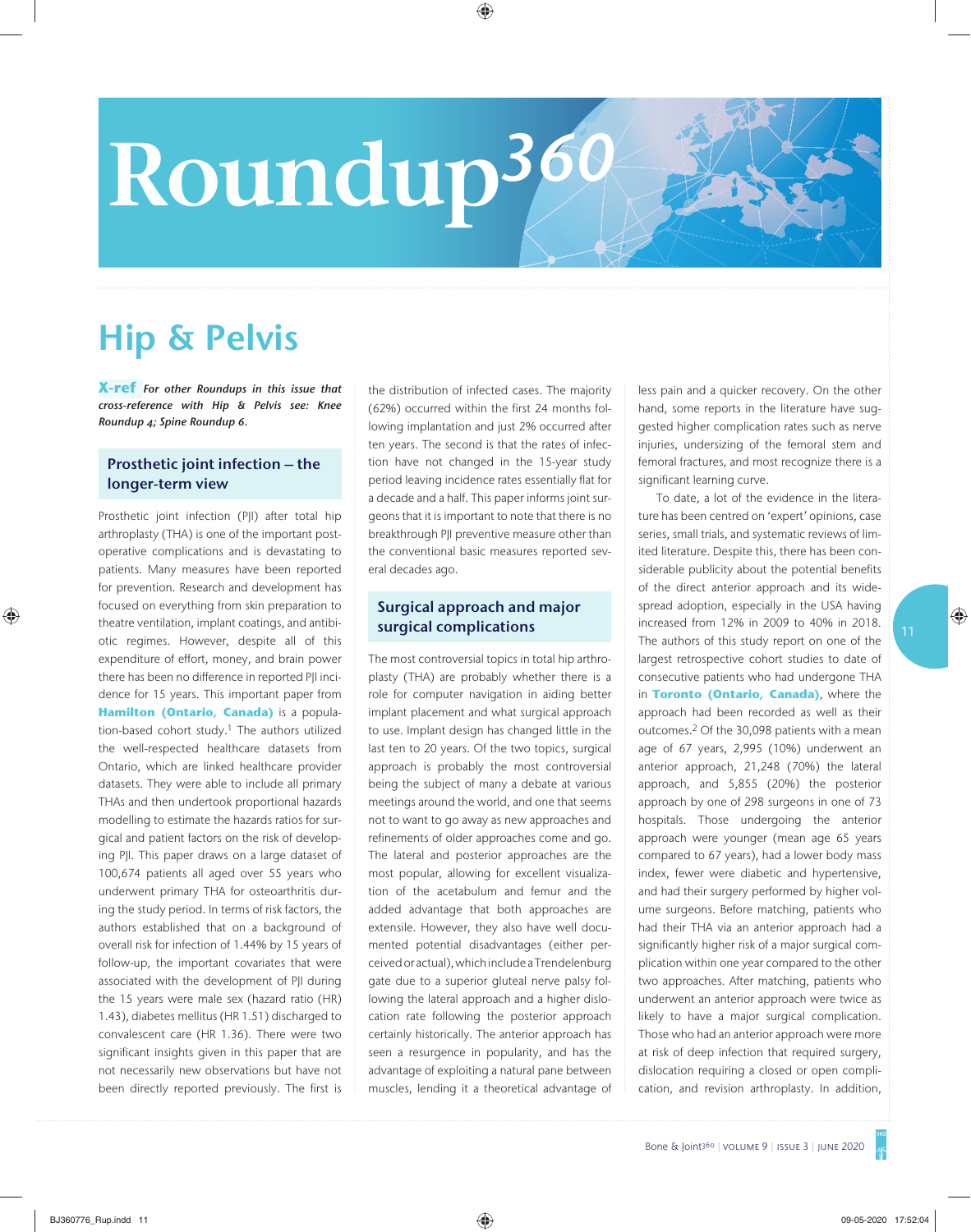# **Roundup***360*

## **Hip & Pelvis**

**X-ref** *For other Roundups in this issue that cross-reference with Hip & Pelvis see: Knee Roundup 4; Spine Roundup 6.* 

#### **Prosthetic joint infection – the longer-term view**

Prosthetic joint infection (PJI) after total hip arthroplasty (THA) is one of the important postoperative complications and is devastating to patients. Many measures have been reported for prevention. Research and development has focused on everything from skin preparation to theatre ventilation, implant coatings, and antibiotic regimes. However, despite all of this expenditure of effort, money, and brain power there has been no difference in reported PJI incidence for 15 years. This important paper from **Hamilton (Ontario, Canada)** is a population-based cohort study.1 The authors utilized the well-respected healthcare datasets from Ontario, which are linked healthcare provider datasets. They were able to include all primary THAs and then undertook proportional hazards modelling to estimate the hazards ratios for surgical and patient factors on the risk of developing PJI. This paper draws on a large dataset of 100,674 patients all aged over 55 years who underwent primary THA for osteoarthritis during the study period. In terms of risk factors, the authors established that on a background of overall risk for infection of 1.44% by 15 years of follow-up, the important covariates that were associated with the development of PJI during the 15 years were male sex (hazard ratio (HR) 1.43), diabetes mellitus (HR 1.51) discharged to convalescent care (HR 1.36). There were two significant insights given in this paper that are not necessarily new observations but have not been directly reported previously. The first is

the distribution of infected cases. The majority (62%) occurred within the first 24 months following implantation and just 2% occurred after ten years. The second is that the rates of infection have not changed in the 15-year study period leaving incidence rates essentially flat for a decade and a half. This paper informs joint surgeons that it is important to note that there is no breakthrough PJI preventive measure other than the conventional basic measures reported several decades ago.

#### **Surgical approach and major surgical complications**

The most controversial topics in total hip arthroplasty (THA) are probably whether there is a role for computer navigation in aiding better implant placement and what surgical approach to use. Implant design has changed little in the last ten to 20 years. Of the two topics, surgical approach is probably the most controversial being the subject of many a debate at various meetings around the world, and one that seems not to want to go away as new approaches and refinements of older approaches come and go. The lateral and posterior approaches are the most popular, allowing for excellent visualization of the acetabulum and femur and the added advantage that both approaches are extensile. However, they also have well documented potential disadvantages (either perceived or actual), which include a Trendelenburg gate due to a superior gluteal nerve palsy following the lateral approach and a higher dislocation rate following the posterior approach certainly historically. The anterior approach has seen a resurgence in popularity, and has the advantage of exploiting a natural pane between muscles, lending it a theoretical advantage of less pain and a quicker recovery. On the other hand, some reports in the literature have suggested higher complication rates such as nerve injuries, undersizing of the femoral stem and femoral fractures, and most recognize there is a significant learning curve.

To date, a lot of the evidence in the literature has been centred on 'expert' opinions, case series, small trials, and systematic reviews of limited literature. Despite this, there has been considerable publicity about the potential benefits of the direct anterior approach and its widespread adoption, especially in the USA having increased from 12% in 2009 to 40% in 2018. The authors of this study report on one of the largest retrospective cohort studies to date of consecutive patients who had undergone THA in **Toronto (Ontario, Canada)**, where the approach had been recorded as well as their outcomes.2 Of the 30,098 patients with a mean age of 67 years, 2,995 (10%) underwent an anterior approach, 21,248 (70%) the lateral approach, and 5,855 (20%) the posterior approach by one of 298 surgeons in one of 73 hospitals. Those undergoing the anterior approach were younger (mean age 65 years compared to 67 years), had a lower body mass index, fewer were diabetic and hypertensive, and had their surgery performed by higher volume surgeons. Before matching, patients who had their THA via an anterior approach had a significantly higher risk of a major surgical complication within one year compared to the other two approaches. After matching, patients who underwent an anterior approach were twice as likely to have a major surgical complication. Those who had an anterior approach were more at risk of deep infection that required surgery, dislocation requiring a closed or open complication, and revision arthroplasty. In addition,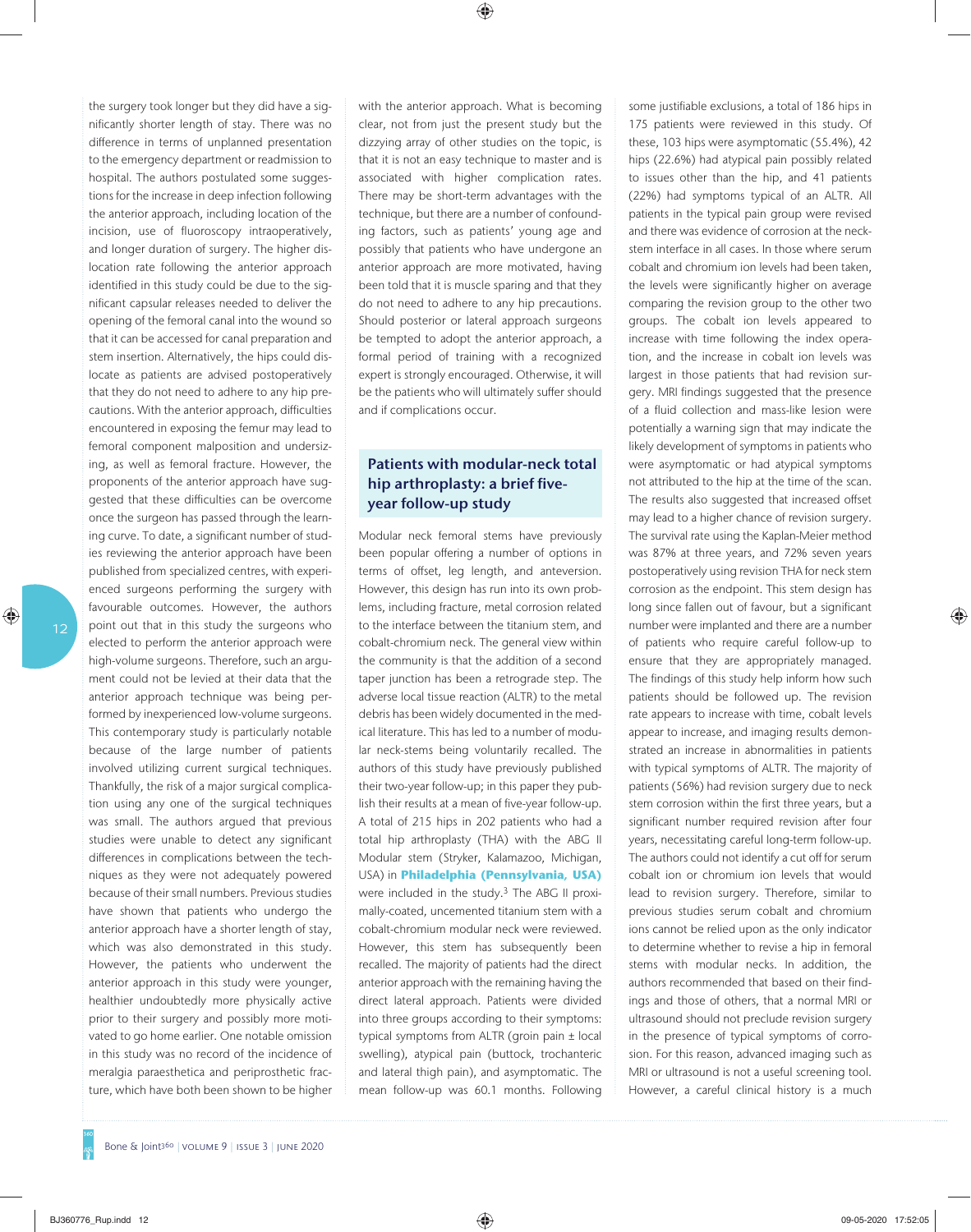the surgery took longer but they did have a significantly shorter length of stay. There was no difference in terms of unplanned presentation to the emergency department or readmission to hospital. The authors postulated some suggestions for the increase in deep infection following the anterior approach, including location of the incision, use of fluoroscopy intraoperatively, and longer duration of surgery. The higher dislocation rate following the anterior approach identified in this study could be due to the significant capsular releases needed to deliver the opening of the femoral canal into the wound so that it can be accessed for canal preparation and stem insertion. Alternatively, the hips could dislocate as patients are advised postoperatively that they do not need to adhere to any hip precautions. With the anterior approach, difficulties encountered in exposing the femur may lead to femoral component malposition and undersizing, as well as femoral fracture. However, the proponents of the anterior approach have suggested that these difficulties can be overcome once the surgeon has passed through the learning curve. To date, a significant number of studies reviewing the anterior approach have been published from specialized centres, with experienced surgeons performing the surgery with favourable outcomes. However, the authors point out that in this study the surgeons who elected to perform the anterior approach were high-volume surgeons. Therefore, such an argument could not be levied at their data that the anterior approach technique was being performed by inexperienced low-volume surgeons. This contemporary study is particularly notable because of the large number of patients involved utilizing current surgical techniques. Thankfully, the risk of a major surgical complication using any one of the surgical techniques was small. The authors argued that previous studies were unable to detect any significant differences in complications between the techniques as they were not adequately powered because of their small numbers. Previous studies have shown that patients who undergo the anterior approach have a shorter length of stay, which was also demonstrated in this study. However, the patients who underwent the anterior approach in this study were younger, healthier undoubtedly more physically active prior to their surgery and possibly more motivated to go home earlier. One notable omission in this study was no record of the incidence of meralgia paraesthetica and periprosthetic fracture, which have both been shown to be higher with the anterior approach. What is becoming clear, not from just the present study but the dizzying array of other studies on the topic, is that it is not an easy technique to master and is associated with higher complication rates. There may be short-term advantages with the technique, but there are a number of confounding factors, such as patients' young age and possibly that patients who have undergone an anterior approach are more motivated, having been told that it is muscle sparing and that they do not need to adhere to any hip precautions. Should posterior or lateral approach surgeons be tempted to adopt the anterior approach, a formal period of training with a recognized expert is strongly encouraged. Otherwise, it will be the patients who will ultimately suffer should and if complications occur.

#### **Patients with modular-neck total hip arthroplasty: a brief fiveyear follow-up study**

Modular neck femoral stems have previously been popular offering a number of options in terms of offset, leg length, and anteversion. However, this design has run into its own problems, including fracture, metal corrosion related to the interface between the titanium stem, and cobalt-chromium neck. The general view within the community is that the addition of a second taper junction has been a retrograde step. The adverse local tissue reaction (ALTR) to the metal debris has been widely documented in the medical literature. This has led to a number of modular neck-stems being voluntarily recalled. The authors of this study have previously published their two-year follow-up; in this paper they publish their results at a mean of five-year follow-up. A total of 215 hips in 202 patients who had a total hip arthroplasty (THA) with the ABG II Modular stem (Stryker, Kalamazoo, Michigan, USA) in **Philadelphia (Pennsylvania, USA)** were included in the study.3 The ABG II proximally-coated, uncemented titanium stem with a cobalt-chromium modular neck were reviewed. However, this stem has subsequently been recalled. The majority of patients had the direct anterior approach with the remaining having the direct lateral approach. Patients were divided into three groups according to their symptoms: typical symptoms from ALTR (groin pain ± local swelling), atypical pain (buttock, trochanteric and lateral thigh pain), and asymptomatic. The mean follow-up was 60.1 months. Following

some justifiable exclusions, a total of 186 hips in 175 patients were reviewed in this study. Of these, 103 hips were asymptomatic (55.4%), 42 hips (22.6%) had atypical pain possibly related to issues other than the hip, and 41 patients (22%) had symptoms typical of an ALTR. All patients in the typical pain group were revised and there was evidence of corrosion at the neckstem interface in all cases. In those where serum cobalt and chromium ion levels had been taken, the levels were significantly higher on average comparing the revision group to the other two groups. The cobalt ion levels appeared to increase with time following the index operation, and the increase in cobalt ion levels was largest in those patients that had revision surgery. MRI findings suggested that the presence of a fluid collection and mass-like lesion were potentially a warning sign that may indicate the likely development of symptoms in patients who were asymptomatic or had atypical symptoms not attributed to the hip at the time of the scan. The results also suggested that increased offset may lead to a higher chance of revision surgery. The survival rate using the Kaplan-Meier method was 87% at three years, and 72% seven years postoperatively using revision THA for neck stem corrosion as the endpoint. This stem design has long since fallen out of favour, but a significant number were implanted and there are a number of patients who require careful follow-up to ensure that they are appropriately managed. The findings of this study help inform how such patients should be followed up. The revision rate appears to increase with time, cobalt levels appear to increase, and imaging results demonstrated an increase in abnormalities in patients with typical symptoms of ALTR. The majority of patients (56%) had revision surgery due to neck stem corrosion within the first three years, but a significant number required revision after four years, necessitating careful long-term follow-up. The authors could not identify a cut off for serum cobalt ion or chromium ion levels that would lead to revision surgery. Therefore, similar to previous studies serum cobalt and chromium ions cannot be relied upon as the only indicator to determine whether to revise a hip in femoral stems with modular necks. In addition, the authors recommended that based on their findings and those of others, that a normal MRI or ultrasound should not preclude revision surgery in the presence of typical symptoms of corrosion. For this reason, advanced imaging such as MRI or ultrasound is not a useful screening tool. However, a careful clinical history is a much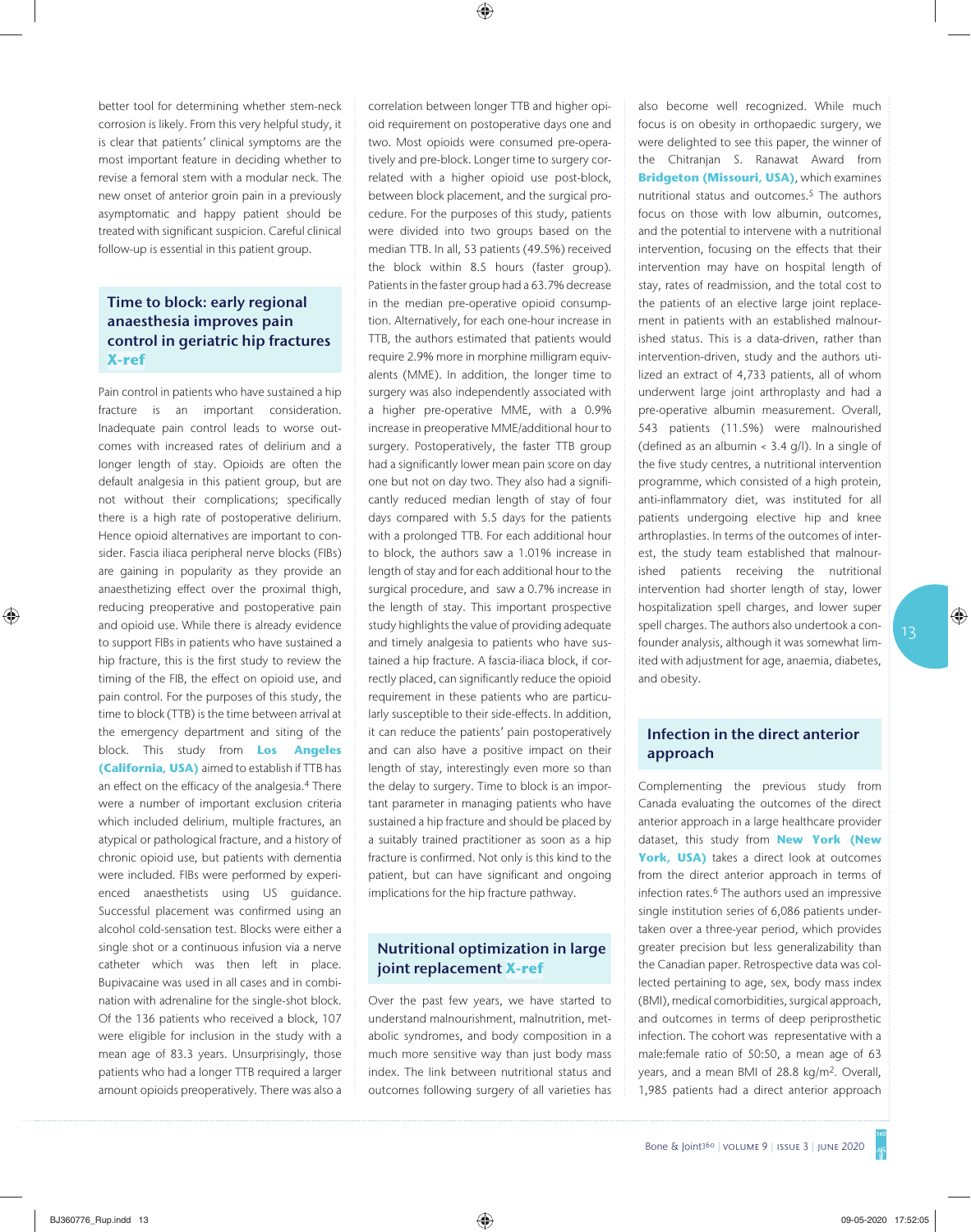better tool for determining whether stem-neck corrosion is likely. From this very helpful study, it is clear that patients' clinical symptoms are the most important feature in deciding whether to revise a femoral stem with a modular neck. The new onset of anterior groin pain in a previously asymptomatic and happy patient should be treated with significant suspicion. Careful clinical follow-up is essential in this patient group.

### **Time to block: early regional anaesthesia improves pain control in geriatric hip fractures X-ref**

Pain control in patients who have sustained a hip fracture is an important consideration. Inadequate pain control leads to worse outcomes with increased rates of delirium and a longer length of stay. Opioids are often the default analgesia in this patient group, but are not without their complications; specifically there is a high rate of postoperative delirium. Hence opioid alternatives are important to consider. Fascia iliaca peripheral nerve blocks (FIBs) are gaining in popularity as they provide an anaesthetizing effect over the proximal thigh, reducing preoperative and postoperative pain and opioid use. While there is already evidence to support FIBs in patients who have sustained a hip fracture, this is the first study to review the timing of the FIB, the effect on opioid use, and pain control. For the purposes of this study, the time to block (TTB) is the time between arrival at the emergency department and siting of the block. This study from **Los Angeles (California, USA)** aimed to establish if TTB has an effect on the efficacy of the analgesia.4 There were a number of important exclusion criteria which included delirium, multiple fractures, an atypical or pathological fracture, and a history of chronic opioid use, but patients with dementia were included. FIBs were performed by experienced anaesthetists using US guidance. Successful placement was confirmed using an alcohol cold-sensation test. Blocks were either a single shot or a continuous infusion via a nerve catheter which was then left in place. Bupivacaine was used in all cases and in combination with adrenaline for the single-shot block. Of the 136 patients who received a block, 107 were eligible for inclusion in the study with a mean age of 83.3 years. Unsurprisingly, those patients who had a longer TTB required a larger amount opioids preoperatively. There was also a

correlation between longer TTB and higher opioid requirement on postoperative days one and two. Most opioids were consumed pre-operatively and pre-block. Longer time to surgery correlated with a higher opioid use post-block, between block placement, and the surgical procedure. For the purposes of this study, patients were divided into two groups based on the median TTB. In all, 53 patients (49.5%) received the block within 8.5 hours (faster group). Patients in the faster group had a 63.7% decrease in the median pre-operative opioid consumption. Alternatively, for each one-hour increase in TTB, the authors estimated that patients would require 2.9% more in morphine milligram equivalents (MME). In addition, the longer time to surgery was also independently associated with a higher pre-operative MME, with a 0.9% increase in preoperative MME/additional hour to surgery. Postoperatively, the faster TTB group had a significantly lower mean pain score on day one but not on day two. They also had a significantly reduced median length of stay of four days compared with 5.5 days for the patients with a prolonged TTB. For each additional hour to block, the authors saw a 1.01% increase in length of stay and for each additional hour to the surgical procedure, and saw a 0.7% increase in the length of stay. This important prospective study highlights the value of providing adequate and timely analgesia to patients who have sustained a hip fracture. A fascia-iliaca block, if correctly placed, can significantly reduce the opioid requirement in these patients who are particularly susceptible to their side-effects. In addition, it can reduce the patients' pain postoperatively and can also have a positive impact on their length of stay, interestingly even more so than the delay to surgery. Time to block is an important parameter in managing patients who have sustained a hip fracture and should be placed by a suitably trained practitioner as soon as a hip fracture is confirmed. Not only is this kind to the patient, but can have significant and ongoing implications for the hip fracture pathway.

#### **Nutritional optimization in large joint replacement X-ref**

Over the past few years, we have started to understand malnourishment, malnutrition, metabolic syndromes, and body composition in a much more sensitive way than just body mass index. The link between nutritional status and outcomes following surgery of all varieties has

also become well recognized. While much focus is on obesity in orthopaedic surgery, we were delighted to see this paper, the winner of the Chitranjan S. Ranawat Award from **Bridgeton (Missouri, USA)**, which examines nutritional status and outcomes.5 The authors focus on those with low albumin, outcomes, and the potential to intervene with a nutritional intervention, focusing on the effects that their intervention may have on hospital length of stay, rates of readmission, and the total cost to the patients of an elective large joint replacement in patients with an established malnourished status. This is a data-driven, rather than intervention-driven, study and the authors utilized an extract of 4,733 patients, all of whom underwent large joint arthroplasty and had a pre-operative albumin measurement. Overall, 543 patients (11.5%) were malnourished (defined as an albumin < 3.4 g/l). In a single of the five study centres, a nutritional intervention programme, which consisted of a high protein, anti-inflammatory diet, was instituted for all patients undergoing elective hip and knee arthroplasties. In terms of the outcomes of interest, the study team established that malnourished patients receiving the nutritional intervention had shorter length of stay, lower hospitalization spell charges, and lower super spell charges. The authors also undertook a confounder analysis, although it was somewhat limited with adjustment for age, anaemia, diabetes, and obesity.

#### **Infection in the direct anterior approach**

Complementing the previous study from Canada evaluating the outcomes of the direct anterior approach in a large healthcare provider dataset, this study from **New York (New York, USA)** takes a direct look at outcomes from the direct anterior approach in terms of infection rates.6 The authors used an impressive single institution series of 6,086 patients undertaken over a three-year period, which provides greater precision but less generalizability than the Canadian paper. Retrospective data was collected pertaining to age, sex, body mass index (BMI), medical comorbidities, surgical approach, and outcomes in terms of deep periprosthetic infection. The cohort was representative with a male:female ratio of 50:50, a mean age of 63 years, and a mean BMI of 28.8 kg/m<sup>2</sup>. Overall, 1,985 patients had a direct anterior approach